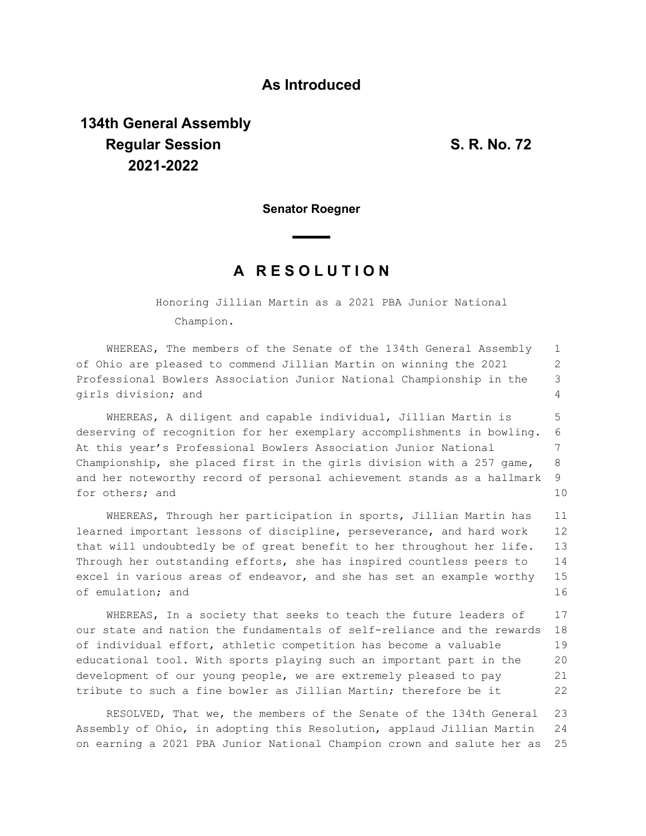## **As Introduced**

## **134th General Assembly Regular Session S. R. No. 72 2021-2022**

**Senator Roegner**

## **A R E S O L U T I O N**

Honoring Jillian Martin as a 2021 PBA Junior National Champion.

WHEREAS, The members of the Senate of the 134th General Assembly of Ohio are pleased to commend Jillian Martin on winning the 2021 Professional Bowlers Association Junior National Championship in the girls division; and 1 2 3 4

WHEREAS, A diligent and capable individual, Jillian Martin is deserving of recognition for her exemplary accomplishments in bowling. At this year's Professional Bowlers Association Junior National Championship, she placed first in the girls division with a 257 game, and her noteworthy record of personal achievement stands as a hallmark for others; and 5 6 7 8 9 10

WHEREAS, Through her participation in sports, Jillian Martin has learned important lessons of discipline, perseverance, and hard work that will undoubtedly be of great benefit to her throughout her life. Through her outstanding efforts, she has inspired countless peers to excel in various areas of endeavor, and she has set an example worthy of emulation; and 11 12 13 14 15 16

WHEREAS, In a society that seeks to teach the future leaders of our state and nation the fundamentals of self-reliance and the rewards of individual effort, athletic competition has become a valuable educational tool. With sports playing such an important part in the development of our young people, we are extremely pleased to pay tribute to such a fine bowler as Jillian Martin; therefore be it 17 18 19 20 21 22

RESOLVED, That we, the members of the Senate of the 134th General Assembly of Ohio, in adopting this Resolution, applaud Jillian Martin on earning a 2021 PBA Junior National Champion crown and salute her as 23 24 25